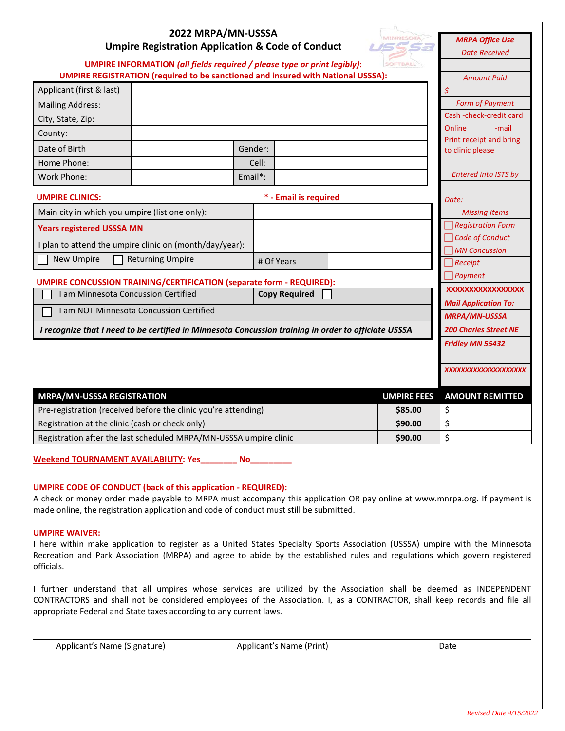| 2022 MRPA/MN-USSSA<br><b>MINNESOTA</b><br>ISSSA<br><b>Umpire Registration Application &amp; Code of Conduct</b> |         |  |                    | <b>MRPA Office Use</b><br><b>Date Received</b> |
|-----------------------------------------------------------------------------------------------------------------|---------|--|--------------------|------------------------------------------------|
| <b>UMPIRE INFORMATION (all fields required / please type or print legibly):</b>                                 |         |  | SOFTBALL           |                                                |
| <b>UMPIRE REGISTRATION (required to be sanctioned and insured with National USSSA):</b>                         |         |  |                    | <b>Amount Paid</b>                             |
| Applicant (first & last)                                                                                        |         |  |                    | \$                                             |
| <b>Mailing Address:</b>                                                                                         |         |  |                    | <b>Form of Payment</b>                         |
| City, State, Zip:                                                                                               |         |  |                    | Cash-check-credit card                         |
| County:                                                                                                         |         |  |                    | Online<br>-mail<br>Print receipt and bring     |
| Date of Birth                                                                                                   | Gender: |  |                    | to clinic please                               |
| Home Phone:                                                                                                     | Cell:   |  |                    |                                                |
| Work Phone:                                                                                                     | Email*: |  |                    | <b>Entered into ISTS by</b>                    |
| * - Email is required<br><b>UMPIRE CLINICS:</b>                                                                 |         |  |                    | Date:                                          |
| Main city in which you umpire (list one only):                                                                  |         |  |                    | <b>Missing Items</b>                           |
| <b>Years registered USSSA MN</b>                                                                                |         |  |                    | <b>Registration Form</b>                       |
|                                                                                                                 |         |  |                    | Code of Conduct                                |
| I plan to attend the umpire clinic on (month/day/year):                                                         |         |  |                    | MN Concussion                                  |
| <b>Returning Umpire</b><br><b>New Umpire</b><br># Of Years                                                      |         |  |                    | $\bigcap$ Receipt                              |
| <b>UMPIRE CONCUSSION TRAINING/CERTIFICATION (separate form - REQUIRED):</b>                                     |         |  |                    | $\bigcap$ Payment                              |
| I am Minnesota Concussion Certified<br><b>Copy Required</b>                                                     |         |  |                    | XXXXXXXXXXXXXXXXX                              |
| I am NOT Minnesota Concussion Certified                                                                         |         |  |                    | <b>Mail Application To:</b>                    |
|                                                                                                                 |         |  |                    | <b>MRPA/MN-USSSA</b>                           |
| I recognize that I need to be certified in Minnesota Concussion training in order to officiate USSSA            |         |  |                    | <b>200 Charles Street NE</b>                   |
|                                                                                                                 |         |  |                    | Fridley MN 55432                               |
|                                                                                                                 |         |  |                    | XXXXXXXXXXXXXXXXXXXXX                          |
| <b>MRPA/MN-USSSA REGISTRATION</b>                                                                               |         |  | <b>UMPIRE FEES</b> | <b>AMOUNT REMITTED</b>                         |
| Pre-registration (received before the clinic you're attending)<br>\$85.00                                       |         |  |                    | \$                                             |
| Registration at the clinic (cash or check only)<br>\$90.00                                                      |         |  |                    | \$                                             |
| Registration after the last scheduled MRPA/MN-USSSA umpire clinic                                               |         |  |                    | \$                                             |

**Weekend TOURNAMENT AVAILABILITY: Yes\_\_\_\_\_\_\_\_ No\_\_\_\_\_\_\_\_\_**

## **UMPIRE CODE OF CONDUCT (back of this application - REQUIRED):**

A check or money order made payable to MRPA must accompany this application OR pay online at [www.mnrpa.org.](http://www.mnrpa.org/) If payment is made online, the registration application and code of conduct must still be submitted.

## **UMPIRE WAIVER:**

I here within make application to register as a United States Specialty Sports Association (USSSA) umpire with the Minnesota Recreation and Park Association (MRPA) and agree to abide by the established rules and regulations which govern registered officials.

I further understand that all umpires whose services are utilized by the Association shall be deemed as INDEPENDENT CONTRACTORS and shall not be considered employees of the Association. I, as a CONTRACTOR, shall keep records and file all appropriate Federal and State taxes according to any current laws.

Applicant's Name (Signature) and Applicant's Name (Print) and Date and Date Date